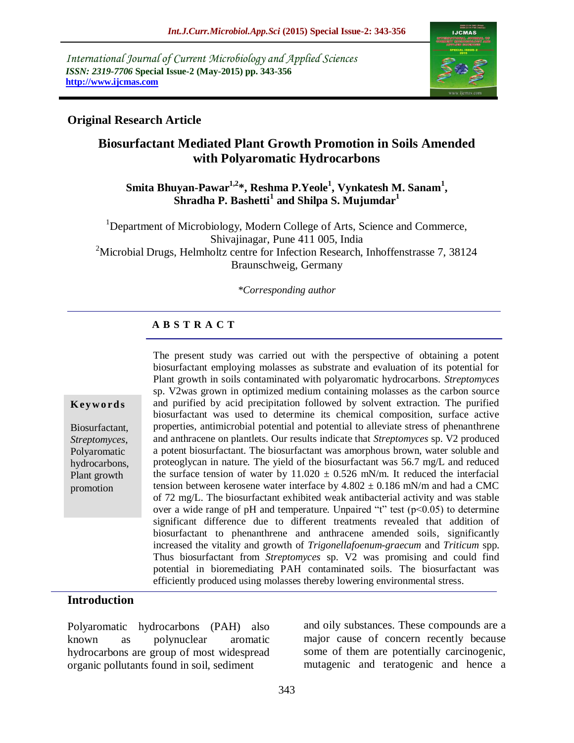*International Journal of Current Microbiology and Applied Sciences ISSN: 2319-7706* **Special Issue-2 (May-2015) pp. 343-356 http://www.ijcmas.com** 



### **Original Research Article**

# **Biosurfactant Mediated Plant Growth Promotion in Soils Amended with Polyaromatic Hydrocarbons**

### **Smita Bhuyan-Pawar1,2\*, Reshma P.Yeole<sup>1</sup> , Vynkatesh M. Sanam<sup>1</sup> , Shradha P. Bashetti<sup>1</sup> and Shilpa S. Mujumdar<sup>1</sup>**

<sup>1</sup>Department of Microbiology, Modern College of Arts, Science and Commerce, Shivajinagar, Pune 411 005, India <sup>2</sup>Microbial Drugs, Helmholtz centre for Infection Research, Inhoffenstrasse 7, 38124 Braunschweig, Germany

*\*Corresponding author*

# **A B S T R A C T**

#### **K ey w o rd s**

Biosurfactant, *Streptomyces*, Polyaromatic hydrocarbons, Plant growth promotion

The present study was carried out with the perspective of obtaining a potent biosurfactant employing molasses as substrate and evaluation of its potential for Plant growth in soils contaminated with polyaromatic hydrocarbons. *Streptomyces* sp. V2was grown in optimized medium containing molasses as the carbon source and purified by acid precipitation followed by solvent extraction. The purified biosurfactant was used to determine its chemical composition, surface active properties, antimicrobial potential and potential to alleviate stress of phenanthrene and anthracene on plantlets. Our results indicate that *Streptomyces* sp. V2 produced a potent biosurfactant. The biosurfactant was amorphous brown, water soluble and proteoglycan in nature. The yield of the biosurfactant was 56.7 mg/L and reduced the surface tension of water by  $11.020 \pm 0.526$  mN/m. It reduced the interfacial tension between kerosene water interface by  $4.802 \pm 0.186$  mN/m and had a CMC of 72 mg/L. The biosurfactant exhibited weak antibacterial activity and was stable over a wide range of pH and temperature. Unpaired "t" test  $(p<0.05)$  to determine significant difference due to different treatments revealed that addition of biosurfactant to phenanthrene and anthracene amended soils, significantly increased the vitality and growth of *Trigonellafoenum*-*graecum* and *Triticum* spp. Thus biosurfactant from *Streptomyces* sp. V2 was promising and could find potential in bioremediating PAH contaminated soils. The biosurfactant was efficiently produced using molasses thereby lowering environmental stress.

#### **Introduction**

Polyaromatic hydrocarbons (PAH) also known as polynuclear aromatic hydrocarbons are group of most widespread organic pollutants found in soil, sediment

and oily substances. These compounds are a major cause of concern recently because some of them are potentially carcinogenic, mutagenic and teratogenic and hence a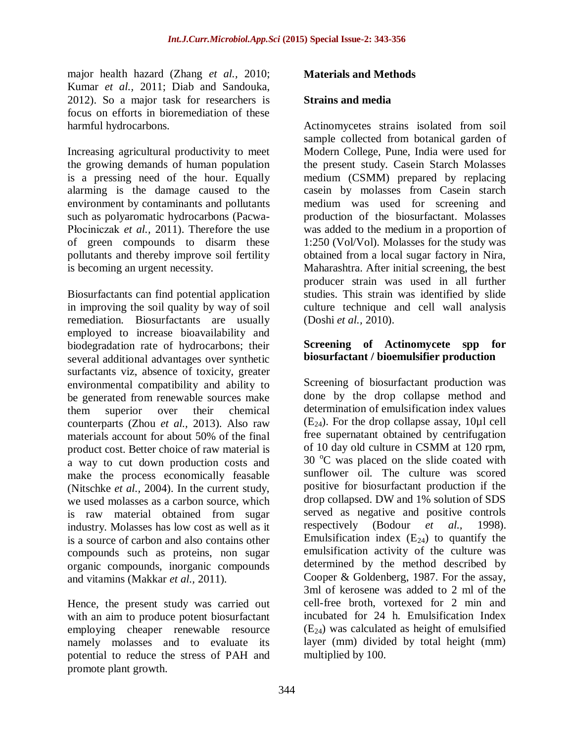major health hazard (Zhang *et al.,* 2010; Kumar *et al.,* 2011; Diab and Sandouka, 2012). So a major task for researchers is focus on efforts in bioremediation of these harmful hydrocarbons.

Increasing agricultural productivity to meet the growing demands of human population is a pressing need of the hour. Equally alarming is the damage caused to the environment by contaminants and pollutants such as polyaromatic hydrocarbons (Pacwa-Płociniczak *et al.,* 2011). Therefore the use of green compounds to disarm these pollutants and thereby improve soil fertility is becoming an urgent necessity.

Biosurfactants can find potential application in improving the soil quality by way of soil remediation. Biosurfactants are usually employed to increase bioavailability and biodegradation rate of hydrocarbons; their several additional advantages over synthetic surfactants viz, absence of toxicity, greater environmental compatibility and ability to be generated from renewable sources make them superior over their chemical counterparts (Zhou *et al.,* 2013). Also raw materials account for about 50% of the final product cost. Better choice of raw material is a way to cut down production costs and make the process economically feasable (Nitschke *et al.,* 2004). In the current study, we used molasses as a carbon source, which is raw material obtained from sugar industry. Molasses has low cost as well as it is a source of carbon and also contains other compounds such as proteins, non sugar organic compounds, inorganic compounds and vitamins (Makkar *et al.,* 2011).

Hence, the present study was carried out with an aim to produce potent biosurfactant employing cheaper renewable resource namely molasses and to evaluate its potential to reduce the stress of PAH and promote plant growth.

### **Materials and Methods**

#### **Strains and media**

Actinomycetes strains isolated from soil sample collected from botanical garden of Modern College, Pune, India were used for the present study. Casein Starch Molasses medium (CSMM) prepared by replacing casein by molasses from Casein starch medium was used for screening and production of the biosurfactant. Molasses was added to the medium in a proportion of 1:250 (Vol/Vol). Molasses for the study was obtained from a local sugar factory in Nira, Maharashtra. After initial screening, the best producer strain was used in all further studies. This strain was identified by slide culture technique and cell wall analysis (Doshi *et al.,* 2010).

### **Screening of Actinomycete spp for biosurfactant / bioemulsifier production**

Screening of biosurfactant production was done by the drop collapse method and determination of emulsification index values  $(E_{24})$ . For the drop collapse assay, 10 $\mu$ l cell free supernatant obtained by centrifugation of 10 day old culture in CSMM at 120 rpm,  $30^{\circ}$ C was placed on the slide coated with sunflower oil. The culture was scored positive for biosurfactant production if the drop collapsed. DW and 1% solution of SDS served as negative and positive controls respectively (Bodour *et al.,* 1998). Emulsification index  $(E_{24})$  to quantify the emulsification activity of the culture was determined by the method described by Cooper & Goldenberg, 1987. For the assay, 3ml of kerosene was added to 2 ml of the cell-free broth, vortexed for 2 min and incubated for 24 h. Emulsification Index  $(E_{24})$  was calculated as height of emulsified layer (mm) divided by total height (mm) multiplied by 100.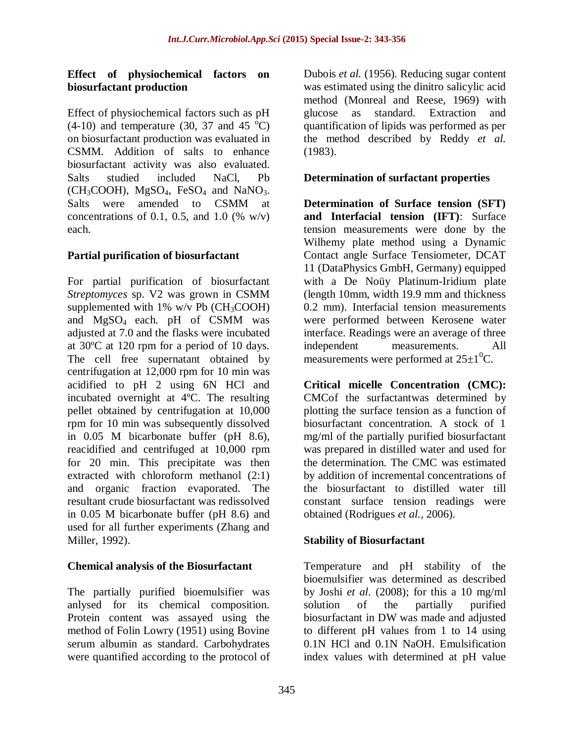### **Effect of physiochemical factors on biosurfactant production**

Effect of physiochemical factors such as pH  $(4-10)$  and temperature (30, 37 and 45 °C) on biosurfactant production was evaluated in CSMM. Addition of salts to enhance biosurfactant activity was also evaluated. Salts studied included NaCl, Pb  $(CH_3COOH)$ , MgSO<sub>4</sub>, FeSO<sub>4</sub> and NaNO<sub>3</sub>. Salts were amended to CSMM at concentrations of 0.1, 0.5, and 1.0 (% w/v) each.

### **Partial purification of biosurfactant**

For partial purification of biosurfactant *Streptomyces* sp. V2 was grown in CSMM supplemented with  $1\%$  w/v Pb (CH<sub>3</sub>COOH) and MgSO4 each. pH of CSMM was adjusted at 7.0 and the flasks were incubated at 30ºC at 120 rpm for a period of 10 days. The cell free supernatant obtained by centrifugation at 12,000 rpm for 10 min was acidified to pH 2 using 6N HCl and incubated overnight at 4ºC. The resulting pellet obtained by centrifugation at 10,000 rpm for 10 min was subsequently dissolved in 0.05 M bicarbonate buffer (pH 8.6), reacidified and centrifuged at 10,000 rpm for 20 min. This precipitate was then extracted with chloroform methanol (2:1) and organic fraction evaporated. The resultant crude biosurfactant was redissolved in 0.05 M bicarbonate buffer (pH 8.6) and used for all further experiments (Zhang and Miller, 1992).

### **Chemical analysis of the Biosurfactant**

The partially purified bioemulsifier was anlysed for its chemical composition. Protein content was assayed using the method of Folin Lowry (1951) using Bovine serum albumin as standard. Carbohydrates were quantified according to the protocol of Dubois *et al.* (1956). Reducing sugar content was estimated using the dinitro salicylic acid method (Monreal and Reese, 1969) with glucose as standard. Extraction and quantification of lipids was performed as per the method described by Reddy *et al.*  (1983).

### **Determination of surfactant properties**

**Determination of Surface tension (SFT) and Interfacial tension (IFT)**: Surface tension measurements were done by the Wilhemy plate method using a Dynamic Contact angle Surface Tensiometer, DCAT 11 (DataPhysics GmbH, Germany) equipped with a De Noüy Platinum-Iridium plate (length 10mm, width 19.9 mm and thickness 0.2 mm). Interfacial tension measurements were performed between Kerosene water interface. Readings were an average of three independent measurements. All measurements were performed at  $25\pm1\textsuperscript{0}C$ .

**Critical micelle Concentration (CMC):**  CMCof the surfactantwas determined by plotting the surface tension as a function of biosurfactant concentration. A stock of 1 mg/ml of the partially purified biosurfactant was prepared in distilled water and used for the determination. The CMC was estimated by addition of incremental concentrations of the biosurfactant to distilled water till constant surface tension readings were obtained (Rodrigues *et al.,* 2006).

## **Stability of Biosurfactant**

Temperature and pH stability of the bioemulsifier was determined as described by Joshi *et al.* (2008); for this a 10 mg/ml solution of the partially purified biosurfactant in DW was made and adjusted to different pH values from 1 to 14 using 0.1N HCl and 0.1N NaOH. Emulsification index values with determined at pH value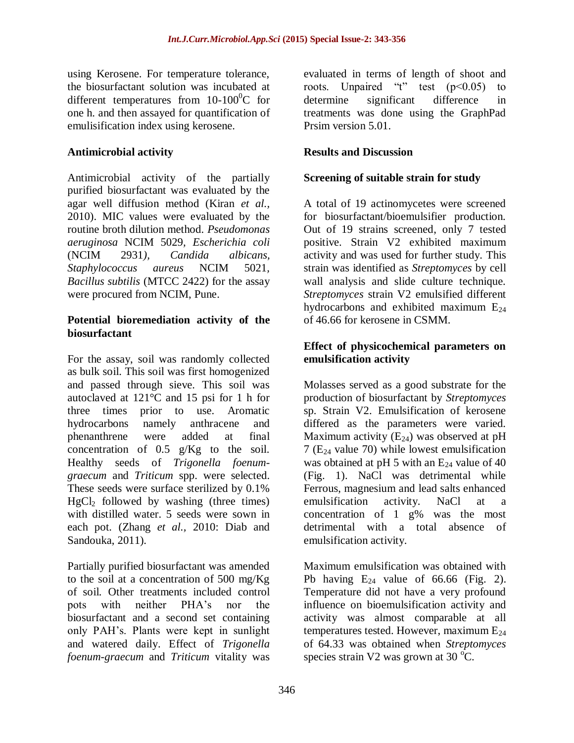using Kerosene. For temperature tolerance, the biosurfactant solution was incubated at different temperatures from  $10-100^{\circ}$ C for one h. and then assayed for quantification of emulisification index using kerosene.

### **Antimicrobial activity**

Antimicrobial activity of the partially purified biosurfactant was evaluated by the agar well diffusion method (Kiran *et al.,* 2010). MIC values were evaluated by the routine broth dilution method. *Pseudomonas aeruginosa* NCIM 5029*, Escherichia coli*  (NCIM 2931*), Candida albicans, Staphylococcus aureus* NCIM 5021*, Bacillus subtilis* (MTCC 2422) for the assay were procured from NCIM, Pune.

### **Potential bioremediation activity of the biosurfactant**

For the assay, soil was randomly collected as bulk soil. This soil was first homogenized and passed through sieve. This soil was autoclaved at 121°C and 15 psi for 1 h for three times prior to use. Aromatic hydrocarbons namely anthracene and phenanthrene were added at final concentration of 0.5 g/Kg to the soil. Healthy seeds of *Trigonella foenumgraecum* and *Triticum* spp. were selected. These seeds were surface sterilized by 0.1%  $HgCl<sub>2</sub>$  followed by washing (three times) with distilled water. 5 seeds were sown in each pot. (Zhang *et al.,* 2010: Diab and Sandouka, 2011).

Partially purified biosurfactant was amended to the soil at a concentration of 500 mg/Kg of soil. Other treatments included control pots with neither PHA's nor the biosurfactant and a second set containing only PAH's. Plants were kept in sunlight and watered daily. Effect of *Trigonella foenum-graecum* and *Triticum* vitality was

evaluated in terms of length of shoot and roots. Unpaired "t" test  $(p<0.05)$  to determine significant difference in treatments was done using the GraphPad Prsim version 5.01.

### **Results and Discussion**

### **Screening of suitable strain for study**

A total of 19 actinomycetes were screened for biosurfactant/bioemulsifier production. Out of 19 strains screened, only 7 tested positive. Strain V2 exhibited maximum activity and was used for further study. This strain was identified as *Streptomyces* by cell wall analysis and slide culture technique. *Streptomyces* strain V2 emulsified different hydrocarbons and exhibited maximum  $E_{24}$ of 46.66 for kerosene in CSMM.

### **Effect of physicochemical parameters on emulsification activity**

Molasses served as a good substrate for the production of biosurfactant by *Streptomyces* sp. Strain V2. Emulsification of kerosene differed as the parameters were varied. Maximum activity  $(E_{24})$  was observed at pH 7 ( $E_{24}$  value 70) while lowest emulsification was obtained at pH 5 with an  $E_{24}$  value of 40 (Fig. 1). NaCl was detrimental while Ferrous, magnesium and lead salts enhanced emulsification activity. NaCl at a concentration of 1 g% was the most detrimental with a total absence of emulsification activity.

Maximum emulsification was obtained with Pb having  $E_{24}$  value of 66.66 (Fig. 2). Temperature did not have a very profound influence on bioemulsification activity and activity was almost comparable at all temperatures tested. However, maximum  $E_{24}$ of 64.33 was obtained when *Streptomyces* species strain V2 was grown at  $30^{\circ}$ C.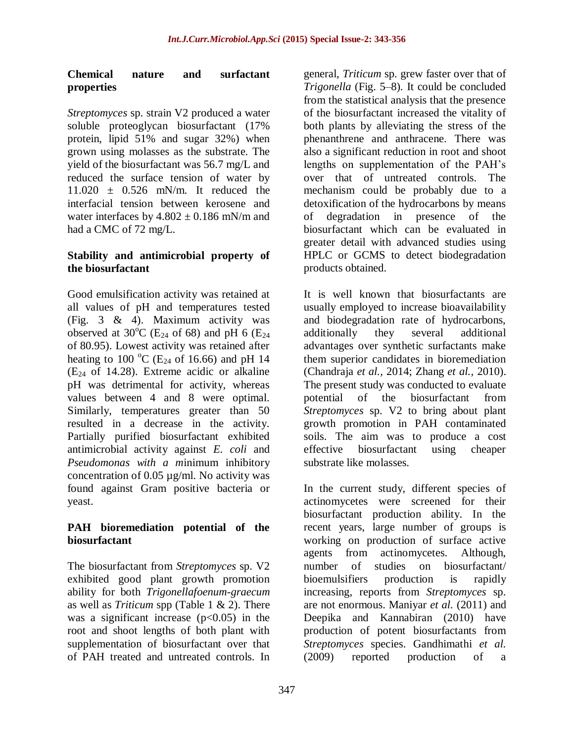### **Chemical nature and surfactant properties**

*Streptomyces* sp. strain V2 produced a water soluble proteoglycan biosurfactant (17% protein, lipid 51% and sugar 32%) when grown using molasses as the substrate. The yield of the biosurfactant was 56.7 mg/L and reduced the surface tension of water by  $11.020 \pm 0.526$  mN/m. It reduced the interfacial tension between kerosene and water interfaces by  $4.802 \pm 0.186$  mN/m and had a CMC of 72 mg/L.

### **Stability and antimicrobial property of the biosurfactant**

Good emulsification activity was retained at all values of pH and temperatures tested (Fig. 3 & 4). Maximum activity was observed at 30<sup>o</sup>C (E<sub>24</sub> of 68) and pH 6 (E<sub>24</sub> of 80.95). Lowest activity was retained after heating to 100  $^{\circ}$ C (E<sub>24</sub> of 16.66) and pH 14  $(E_{24}$  of 14.28). Extreme acidic or alkaline pH was detrimental for activity, whereas values between 4 and 8 were optimal. Similarly, temperatures greater than 50 resulted in a decrease in the activity. Partially purified biosurfactant exhibited antimicrobial activity against *E. coli* and *Pseudomonas with a m*inimum inhibitory concentration of 0.05 µg/ml. No activity was found against Gram positive bacteria or yeast.

### **PAH bioremediation potential of the biosurfactant**

The biosurfactant from *Streptomyces* sp. V2 exhibited good plant growth promotion ability for both *Trigonellafoenum*-*graecum* as well as *Triticum* spp (Table 1 & 2). There was a significant increase  $(p<0.05)$  in the root and shoot lengths of both plant with supplementation of biosurfactant over that of PAH treated and untreated controls. In

general, *Triticum* sp. grew faster over that of *Trigonella* (Fig. 5–8)*.* It could be concluded from the statistical analysis that the presence of the biosurfactant increased the vitality of both plants by alleviating the stress of the phenanthrene and anthracene. There was also a significant reduction in root and shoot lengths on supplementation of the PAH's over that of untreated controls. The mechanism could be probably due to a detoxification of the hydrocarbons by means of degradation in presence of the biosurfactant which can be evaluated in greater detail with advanced studies using HPLC or GCMS to detect biodegradation products obtained.

It is well known that biosurfactants are usually employed to increase bioavailability and biodegradation rate of hydrocarbons, additionally they several additional advantages over synthetic surfactants make them superior candidates in bioremediation (Chandraja *et al.,* 2014; Zhang *et al.,* 2010). The present study was conducted to evaluate potential of the biosurfactant from *Streptomyces* sp. V2 to bring about plant growth promotion in PAH contaminated soils. The aim was to produce a cost effective biosurfactant using cheaper substrate like molasses.

In the current study, different species of actinomycetes were screened for their biosurfactant production ability. In the recent years, large number of groups is working on production of surface active agents from actinomycetes. Although, number of studies on biosurfactant/ bioemulsifiers production is rapidly increasing, reports from *Streptomyces* sp. are not enormous. Maniyar *et al.* (2011) and Deepika and Kannabiran (2010) have production of potent biosurfactants from *Streptomyces* species. Gandhimathi *et al.*  (2009) reported production of a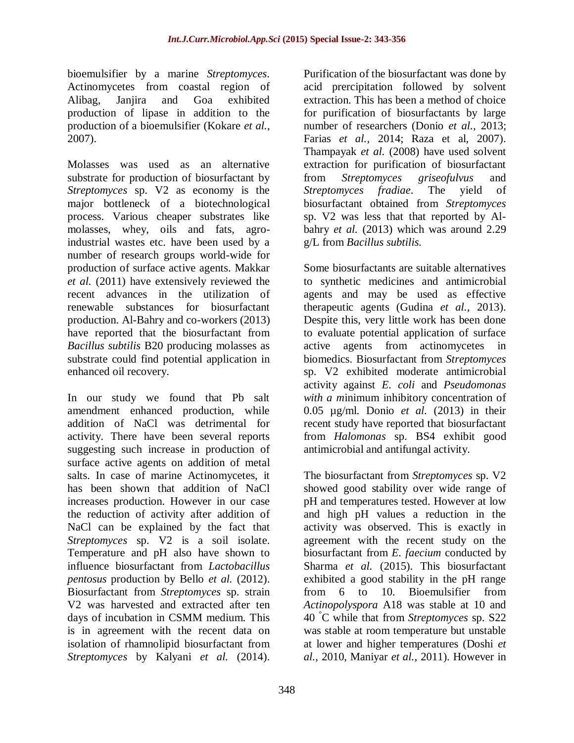bioemulsifier by a marine *Streptomyces*. Actinomycetes from coastal region of Alibag, Janjira and Goa exhibited production of lipase in addition to the production of a bioemulsifier (Kokare *et al.,* 2007).

Molasses was used as an alternative substrate for production of biosurfactant by *Streptomyces* sp. V2 as economy is the major bottleneck of a biotechnological process. Various cheaper substrates like molasses, whey, oils and fats, agroindustrial wastes etc. have been used by a number of research groups world-wide for production of surface active agents. Makkar *et al.* (2011) have extensively reviewed the recent advances in the utilization of renewable substances for biosurfactant production. Al-Bahry and co-workers (2013) have reported that the biosurfactant from *Bacillus subtilis* B20 producing molasses as substrate could find potential application in enhanced oil recovery.

In our study we found that Pb salt amendment enhanced production, while addition of NaCl was detrimental for activity. There have been several reports suggesting such increase in production of surface active agents on addition of metal salts. In case of marine Actinomycetes, it has been shown that addition of NaCl increases production. However in our case the reduction of activity after addition of NaCl can be explained by the fact that *Streptomyces* sp. V2 is a soil isolate. Temperature and pH also have shown to influence biosurfactant from *Lactobacillus pentosus* production by Bello *et al.* (2012). Biosurfactant from *Streptomyces* sp. strain V2 was harvested and extracted after ten days of incubation in CSMM medium. This is in agreement with the recent data on isolation of rhamnolipid biosurfactant from *Streptomyces* by Kalyani *et al.* (2014).

Purification of the biosurfactant was done by acid prercipitation followed by solvent extraction. This has been a method of choice for purification of biosurfactants by large number of researchers (Donio *et al.,* 2013; Farias *et al.,* 2014; Raza et al, 2007). Thampayak *et al.* (2008) have used solvent extraction for purification of biosurfactant from *Streptomyces griseofulvus* and *Streptomyces fradiae*. The yield of biosurfactant obtained from *Streptomyces* sp. V2 was less that that reported by Albahry *et al.* (2013) which was around 2.29 g/L from *Bacillus subtilis.* 

Some biosurfactants are suitable alternatives to synthetic medicines and antimicrobial agents and may be used as effective therapeutic agents (Gudina *et al.,* 2013). Despite this, very little work has been done to evaluate potential application of surface active agents from actinomycetes in biomedics. Biosurfactant from *Streptomyces* sp. V2 exhibited moderate antimicrobial activity against *E. coli* and *Pseudomonas with a m*inimum inhibitory concentration of 0.05 µg/ml. Donio *et al.* (2013) in their recent study have reported that biosurfactant from *Halomonas* sp. BS4 exhibit good antimicrobial and antifungal activity.

The biosurfactant from *Streptomyces* sp. V2 showed good stability over wide range of pH and temperatures tested. However at low and high pH values a reduction in the activity was observed. This is exactly in agreement with the recent study on the biosurfactant from *E. faecium* conducted by Sharma *et al.* (2015). This biosurfactant exhibited a good stability in the pH range from 6 to 10. Bioemulsifier from *Actinopolyspora* A18 was stable at 10 and 40 °C while that from *Streptomyces* sp. S22 was stable at room temperature but unstable at lower and higher temperatures (Doshi *et al.,* 2010, Maniyar *et al.,* 2011). However in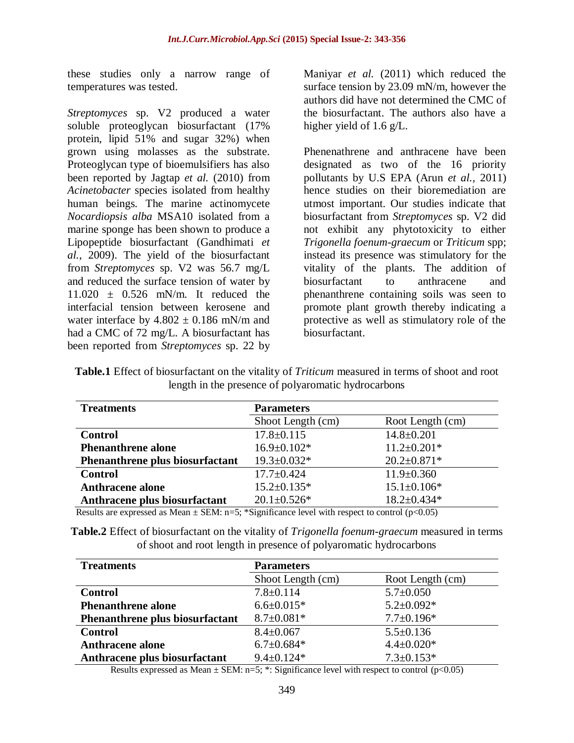these studies only a narrow range of temperatures was tested.

*Streptomyces* sp. V2 produced a water soluble proteoglycan biosurfactant (17% protein, lipid 51% and sugar 32%) when grown using molasses as the substrate. Proteoglycan type of bioemulsifiers has also been reported by Jagtap *et al.* (2010) from *Acinetobacter* species isolated from healthy human beings*.* The marine actinomycete *Nocardiopsis alba* MSA10 isolated from a marine sponge has been shown to produce a Lipopeptide biosurfactant (Gandhimati *et al.,* 2009). The yield of the biosurfactant from *Streptomyces* sp. V2 was 56.7 mg/L and reduced the surface tension of water by  $11.020 \pm 0.526$  mN/m. It reduced the interfacial tension between kerosene and water interface by  $4.802 \pm 0.186$  mN/m and had a CMC of 72 mg/L. A biosurfactant has been reported from *Streptomyces* sp. 22 by

Maniyar *et al.* (2011) which reduced the surface tension by 23.09 mN/m, however the authors did have not determined the CMC of the biosurfactant. The authors also have a higher yield of 1.6 g/L.

Phenenathrene and anthracene have been designated as two of the 16 priority pollutants by U.S EPA (Arun *et al.,* 2011) hence studies on their bioremediation are utmost important. Our studies indicate that biosurfactant from *Streptomyces* sp. V2 did not exhibit any phytotoxicity to either *Trigonella foenum-graecum* or *Triticum* spp; instead its presence was stimulatory for the vitality of the plants. The addition of biosurfactant to anthracene and phenanthrene containing soils was seen to promote plant growth thereby indicating a protective as well as stimulatory role of the biosurfactant.

**Table.1** Effect of biosurfactant on the vitality of *Triticum* measured in terms of shoot and root length in the presence of polyaromatic hydrocarbons

| <b>Treatments</b>               | <b>Parameters</b> |                   |
|---------------------------------|-------------------|-------------------|
|                                 | Shoot Length (cm) | Root Length (cm)  |
| <b>Control</b>                  | $17.8 \pm 0.115$  | $14.8 \pm 0.201$  |
| <b>Phenanthrene alone</b>       | $16.9 \pm 0.102*$ | $11.2 \pm 0.201*$ |
| Phenanthrene plus biosurfactant | $19.3 \pm 0.032*$ | $20.2 \pm 0.871*$ |
| <b>Control</b>                  | $17.7 \pm 0.424$  | $11.9 \pm 0.360$  |
| <b>Anthracene alone</b>         | $15.2 \pm 0.135*$ | $15.1 \pm 0.106*$ |
| Anthracene plus biosurfactant   | $20.1 \pm 0.526*$ | $18.2 \pm 0.434*$ |

Results are expressed as Mean  $\pm$  SEM: n=5; \*Significance level with respect to control (p<0.05)

**Table.2** Effect of biosurfactant on the vitality of *Trigonella foenum-graecum* measured in terms of shoot and root length in presence of polyaromatic hydrocarbons

| <b>Treatments</b>               | <b>Parameters</b> |                  |
|---------------------------------|-------------------|------------------|
|                                 | Shoot Length (cm) | Root Length (cm) |
| <b>Control</b>                  | $7.8 \pm 0.114$   | $5.7 \pm 0.050$  |
| <b>Phenanthrene alone</b>       | $6.6 \pm 0.015*$  | $5.2 \pm 0.092*$ |
| Phenanthrene plus biosurfactant | $8.7 \pm 0.081*$  | $7.7 \pm 0.196*$ |
| <b>Control</b>                  | $8.4 \pm 0.067$   | $5.5 \pm 0.136$  |
| <b>Anthracene alone</b>         | $6.7 \pm 0.684*$  | $4.4 \pm 0.020*$ |
| Anthracene plus biosurfactant   | $9.4 \pm 0.124*$  | $7.3 \pm 0.153*$ |

Results expressed as Mean  $\pm$  SEM: n=5; \*: Significance level with respect to control (p<0.05)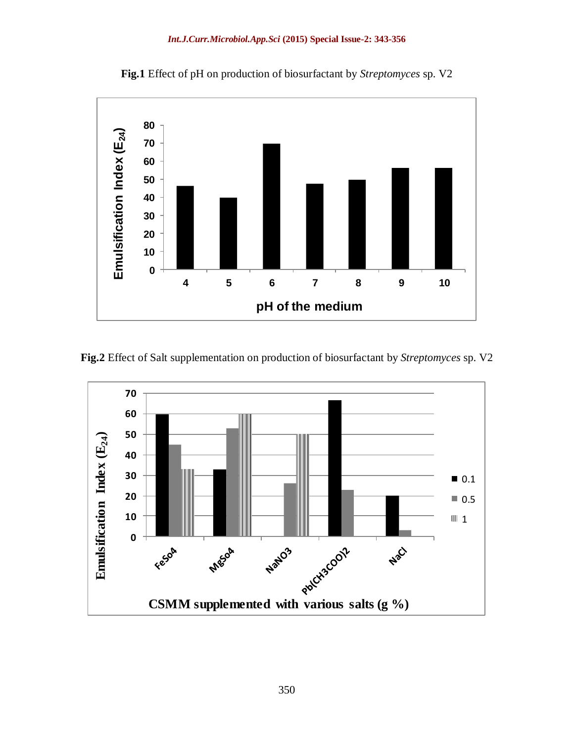

**Fig.1** Effect of pH on production of biosurfactant by *Streptomyces* sp. V2

**Fig.2** Effect of Salt supplementation on production of biosurfactant by *Streptomyces* sp. V2

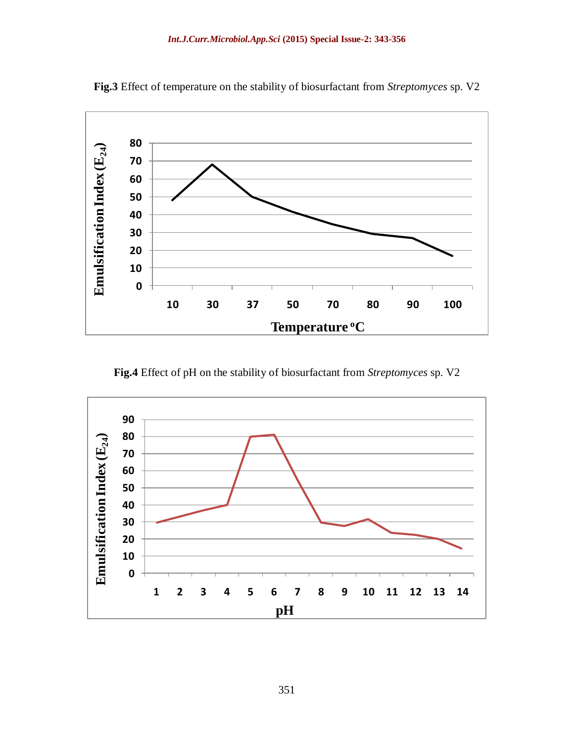

**Fig.3** Effect of temperature on the stability of biosurfactant from *Streptomyces* sp. V2

**Fig.4** Effect of pH on the stability of biosurfactant from *Streptomyces* sp. V2

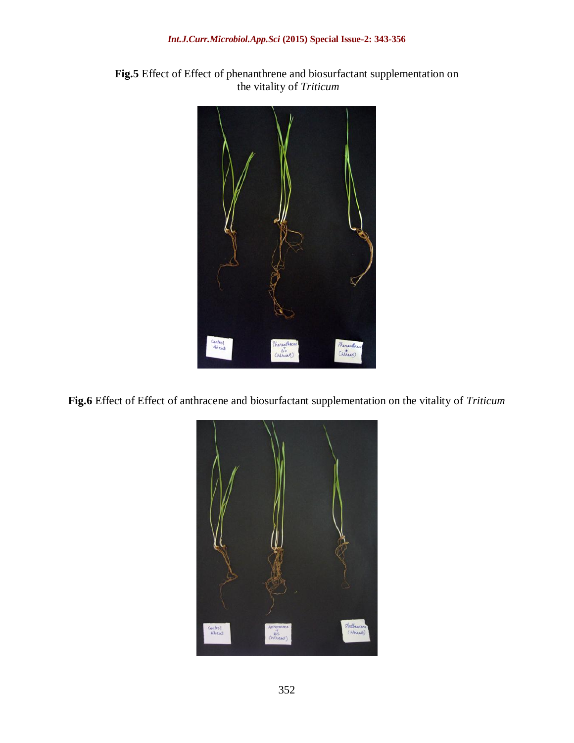#### *Int.J.Curr.Microbiol.App.Sci* **(2015) Special Issue-2: 343-356**



**Fig.5** Effect of Effect of phenanthrene and biosurfactant supplementation on the vitality of *Triticum*

**Fig.6** Effect of Effect of anthracene and biosurfactant supplementation on the vitality of *Triticum*

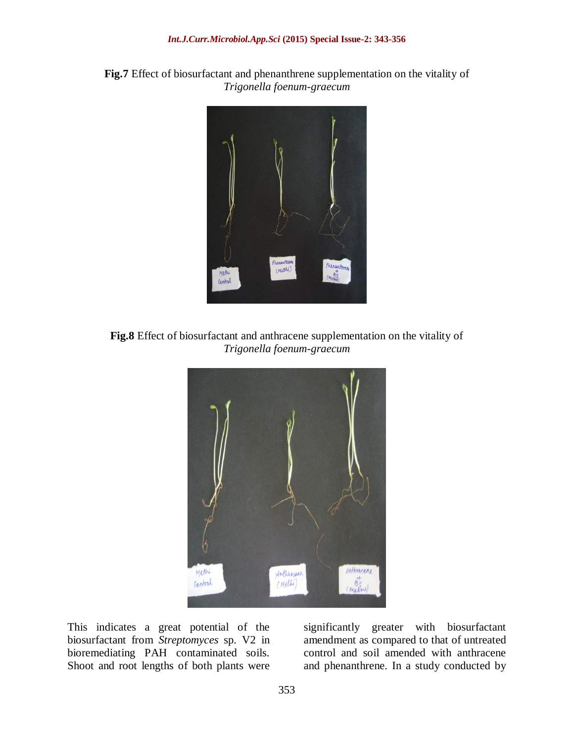



**Fig.8** Effect of biosurfactant and anthracene supplementation on the vitality of *Trigonella foenum-graecum*



This indicates a great potential of the biosurfactant from *Streptomyces* sp. V2 in bioremediating PAH contaminated soils. Shoot and root lengths of both plants were

significantly greater with biosurfactant amendment as compared to that of untreated control and soil amended with anthracene and phenanthrene. In a study conducted by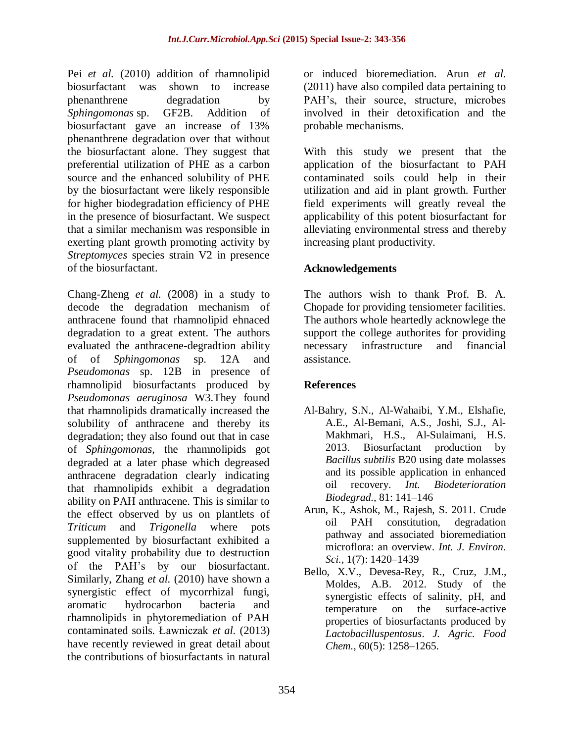Pei *et al.* (2010) addition of rhamnolipid biosurfactant was shown to increase phenanthrene degradation by *Sphingomonas* sp. GF2B. Addition of biosurfactant gave an increase of 13% phenanthrene degradation over that without the biosurfactant alone. They suggest that preferential utilization of PHE as a carbon source and the enhanced solubility of PHE by the biosurfactant were likely responsible for higher biodegradation efficiency of PHE in the presence of biosurfactant. We suspect that a similar mechanism was responsible in exerting plant growth promoting activity by *Streptomyces* species strain V2 in presence of the biosurfactant.

Chang-Zheng *et al.* (2008) in a study to decode the degradation mechanism of anthracene found that rhamnolipid ehnaced degradation to a great extent. The authors evaluated the anthracene-degradtion ability of of *Sphingomonas* sp. 12A and *Pseudomonas* sp. 12B in presence of rhamnolipid biosurfactants produced by *Pseudomonas aeruginosa* W3.They found that rhamnolipids dramatically increased the solubility of anthracene and thereby its degradation; they also found out that in case of *Sphingomonas*, the rhamnolipids got degraded at a later phase which degreased anthracene degradation clearly indicating that rhamnolipids exhibit a degradation ability on PAH anthracene. This is similar to the effect observed by us on plantlets of *Triticum* and *Trigonella* where pots supplemented by biosurfactant exhibited a good vitality probability due to destruction of the PAH's by our biosurfactant. Similarly, Zhang *et al.* (2010) have shown a synergistic effect of mycorrhizal fungi, aromatic hydrocarbon bacteria and rhamnolipids in phytoremediation of PAH contaminated soils. Ławniczak *et al.* (2013) have recently reviewed in great detail about the contributions of biosurfactants in natural

or induced bioremediation. Arun *et al.*  (2011) have also compiled data pertaining to PAH's, their source, structure, microbes involved in their detoxification and the probable mechanisms.

With this study we present that the application of the biosurfactant to PAH contaminated soils could help in their utilization and aid in plant growth. Further field experiments will greatly reveal the applicability of this potent biosurfactant for alleviating environmental stress and thereby increasing plant productivity.

## **Acknowledgements**

The authors wish to thank Prof. B. A. Chopade for providing tensiometer facilities. The authors whole heartedly acknowlege the support the college authorites for providing necessary infrastructure and financial assistance.

# **References**

- [Al-Bahry,](http://www.sciencedirect.com/science/article/pii/S0964830512000327) S.N., [Al-Wahaibi,](http://www.sciencedirect.com/science/article/pii/S0964830512000327) Y.M., [Elshafie,](http://www.sciencedirect.com/science/article/pii/S0964830512000327) A.E., [Al-Bemani,](http://www.sciencedirect.com/science/article/pii/S0964830512000327) A.S., [Joshi,](http://www.sciencedirect.com/science/article/pii/S0964830512000327) S.J., [Al-](http://www.sciencedirect.com/science/article/pii/S0964830512000327)[Makhmari,](http://www.sciencedirect.com/science/article/pii/S0964830512000327) H.S., [Al-Sulaimani,](http://www.sciencedirect.com/science/article/pii/S0964830512000327) H.S. 2013. Biosurfactant production by *Bacillus subtilis* B20 using date molasses and its possible application in enhanced oil recovery. *[Int. Biodeterioration](http://www.sciencedirect.com/science/journal/09648305)  [Biodegrad.,](http://www.sciencedirect.com/science/journal/09648305)* [81:](http://www.sciencedirect.com/science/journal/09648305/81/supp/C) 141–146
- Arun, K., Ashok, M., Rajesh, S. 2011. Crude oil PAH constitution, degradation pathway and associated bioremediation microflora: an overview. *Int. J. Environ. Sci.,* 1(7): 1420–1439
- [Bello, X.V.](http://www.ncbi.nlm.nih.gov/pubmed/?term=Bello%20XV%5BAuthor%5D&cauthor=true&cauthor_uid=22239611), [Devesa-Rey,](http://www.ncbi.nlm.nih.gov/pubmed/?term=Devesa-Rey%20R%5BAuthor%5D&cauthor=true&cauthor_uid=22239611) R., Cruz, [J.M.](http://www.ncbi.nlm.nih.gov/pubmed/?term=Cruz%20JM%5BAuthor%5D&cauthor=true&cauthor_uid=22239611), [Moldes, A.B.](http://www.ncbi.nlm.nih.gov/pubmed/?term=Moldes%20AB%5BAuthor%5D&cauthor=true&cauthor_uid=22239611) 2012. Study of the synergistic effects of salinity, pH, and temperature on the surface-active properties of biosurfactants produced by *Lactobacilluspentosus*. *[J. Agric. Food](http://www.ncbi.nlm.nih.gov/pubmed/22239611)  [Chem.,](http://www.ncbi.nlm.nih.gov/pubmed/22239611)* 60(5): 1258–1265.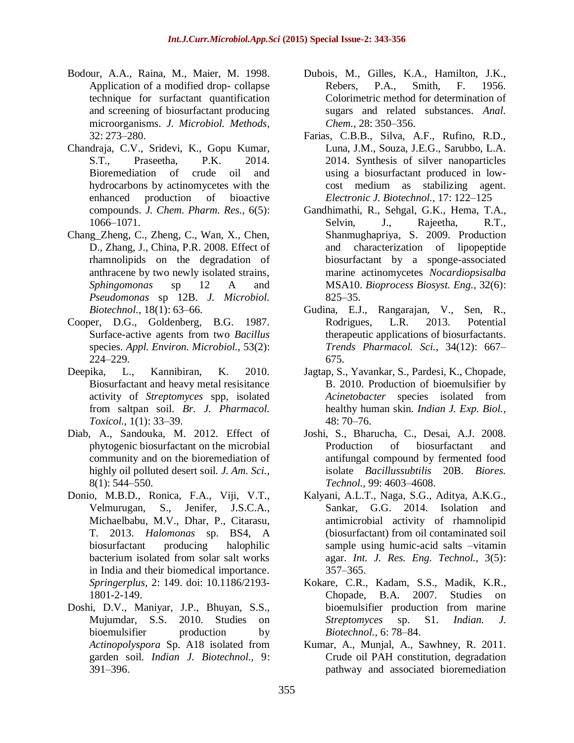- Bodour, A.A., Raina, M., Maier, M. 1998. Application of a modified drop- collapse technique for surfactant quantification and screening of biosurfactant producing microorganisms. *J. Microbiol. Methods,*  32: 273–280.
- Chandraja, C.V., Sridevi, K., Gopu Kumar, S.T., Praseetha, P.K. 2014. Bioremediation of crude oil and hydrocarbons by actinomycetes with the enhanced production of bioactive compounds. *J. Chem. Pharm. Res.,* 6(5): 1066–1071.
- Chang\_Zheng, C., Zheng, C., Wan, X., Chen, D., Zhang, J., China, P.R. 2008. Effect of rhamnolipids on the degradation of anthracene by two newly isolated strains, *Sphingomonas* sp 12 A and *Pseudomonas* sp 12B. *J. Microbiol. Biotechnol.,* 18(1): 63–66.
- Cooper, D.G., Goldenberg, B.G. 1987. Surface-active agents from two *Bacillus* species. *Appl. Environ. Microbiol.,* 53(2): 224–229.
- Deepika, L., Kannibiran, K. 2010. Biosurfactant and heavy metal resisitance activity of *Streptomyces* spp, isolated from saltpan soil. *Br. J. Pharmacol. Toxicol.,* 1(1): 33–39.
- Diab, A., Sandouka, M. 2012. Effect of phytogenic biosurfactant on the microbial community and on the bioremediation of highly oil polluted desert soil. *J. Am. Sci.,* 8(1): 544–550.
- [Donio,](http://www.ncbi.nlm.nih.gov/pubmed/?term=Donio%20MB%5Bauth%5D) M.B.D., [Ronica,](http://www.ncbi.nlm.nih.gov/pubmed/?term=Ronica%20FA%5Bauth%5D) F.A., [Viji,](http://www.ncbi.nlm.nih.gov/pubmed/?term=Viji%20VT%5Bauth%5D) V.T., [Velmurugan,](http://www.ncbi.nlm.nih.gov/pubmed/?term=Velmurugan%20S%5Bauth%5D) S., [Jenifer,](http://www.ncbi.nlm.nih.gov/pubmed/?term=Jenifer%20JS%5Bauth%5D) J.S.C.A., [Michaelbabu,](http://www.ncbi.nlm.nih.gov/pubmed/?term=Michaelbabu%20M%5Bauth%5D) M.V., [Dhar,](http://www.ncbi.nlm.nih.gov/pubmed/?term=Dhar%20P%5Bauth%5D) P., [Citarasu,](http://www.ncbi.nlm.nih.gov/pubmed/?term=Citarasu%20T%5Bauth%5D) T. 2013. *Halomonas* sp. BS4, A biosurfactant producing halophilic bacterium isolated from solar salt works in India and their biomedical importance. *Springerplus,* 2: 149. doi: [10.1186/2193-](http://dx.doi.org/10.1186%2F2193-1801-2-149) [1801-2-149.](http://dx.doi.org/10.1186%2F2193-1801-2-149)
- Doshi, D.V., Maniyar, J.P., Bhuyan, S.S., Mujumdar, S.S. 2010. Studies on bioemulsifier production by *Actinopolyspora* Sp. A18 isolated from garden soil. *Indian J. Biotechnol.,* 9: 391–396.
- Dubois, M., Gilles, K.A., Hamilton, J.K., Rebers, P.A., Smith, F. 1956. Colorimetric method for determination of sugars and related substances. *Anal. Chem.,* 28: 350–356.
- Farias, C.B.B., Silva, A.F., Rufino, R.D., Luna, J.M., Souza, J.E.G., Sarubbo, L.A. 2014. Synthesis of silver nanoparticles using a biosurfactant produced in lowcost medium as stabilizing agent. *Electronic J. Biotechnol.,* 17: 122–125
- [Gandhimathi, R.](http://www.ncbi.nlm.nih.gov/pubmed/?term=Gandhimathi%20R%5BAuthor%5D&cauthor=true&cauthor_uid=19288138), Sehgal, G.K., [Hema,](http://www.ncbi.nlm.nih.gov/pubmed/?term=Hema%20TA%5BAuthor%5D&cauthor=true&cauthor_uid=19288138) T.A., Selvin, J., [Rajeetha,](http://www.ncbi.nlm.nih.gov/pubmed/?term=Rajeetha%20Raviji%20T%5BAuthor%5D&cauthor=true&cauthor_uid=19288138) R.T., [Shanmughapriya, S.](http://www.ncbi.nlm.nih.gov/pubmed/?term=Shanmughapriya%20S%5BAuthor%5D&cauthor=true&cauthor_uid=19288138) 2009. Production and characterization of lipopeptide biosurfactant by a sponge-associated marine actinomycetes *Nocardiopsisalba* MSA10. *[Bioprocess Biosyst. Eng.,](http://www.ncbi.nlm.nih.gov/pubmed/19288138)* 32(6): 825–35.
- Gudina, E.J., Rangarajan, V., Sen, R., Rodrigues, L.R. 2013. Potential therapeutic applications of biosurfactants. *Trends Pharmacol. Sci.,* 34(12): 667– 675.
- Jagtap, S., Yavankar, S., Pardesi, K., Chopade, B. 2010. Production of bioemulsifier by *Acinetobacter* species isolated from healthy human skin. *Indian J. Exp. Biol.,* 48: 70–76.
- Joshi, S., Bharucha, C., Desai, A.J. 2008. Production of biosurfactant and antifungal compound by fermented food isolate *Bacillussubtilis* 20B. *Biores. Technol.,* 99: 4603–4608.
- Kalyani, A.L.T., Naga, S.G., Aditya, A.K.G., Sankar, G.G. 2014. Isolation and antimicrobial activity of rhamnolipid (biosurfactant) from oil contaminated soil sample using humic-acid salts –vitamin agar. *Int. J. Res. Eng. Technol.,* 3(5): 357–365.
- Kokare, C.R., Kadam, S.S., Madik, K.R., Chopade, B.A. 2007. Studies on bioemulsifier production from marine *Streptomyces* sp. S1. *Indian. J. Biotechnol.,* 6: 78–84.
- Kumar, A., Munjal, A., Sawhney, R. 2011. Crude oil PAH constitution, degradation pathway and associated bioremediation